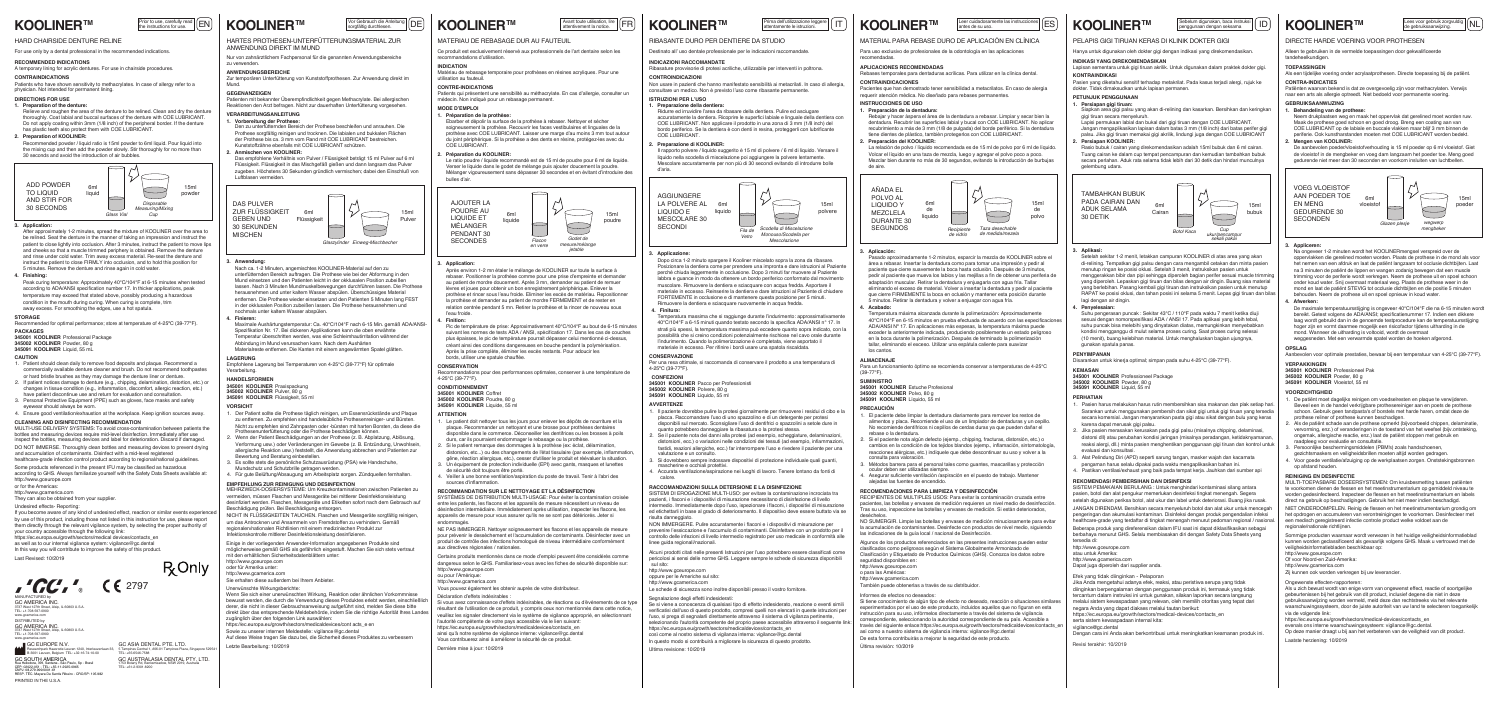# **KOOLINER™**

# HARD CHAIRSIDE DENTURE RELINE

For use only by a dental professional in the recommended indications.

# **DIRECTIONS FOR USE**

# **2. Preparation of KOOLINER:**

# **3. Application:**

# Patients who have shown sensitivity to methacrylates. In case of allergy refer to a physician. Not intended for permanent lining.

# **4. Finishing:**

After approximately 1-2 minutes, spread the mixture of KOOLINER over the area to be relined. Seat the denture in the manner of taking an impression and instruct the patient to close lightly into occlusion. After 3 minutes, instruct the patient to move lips and cheeks so that a muscle trimmed periphery is obtained. Remove the denture and rinse under cold water. Trim away excess material. Re-seat the denture and 5 minutes. Remove the denture and rinse again in cold water. instruct the patient to close FIRMLY into occlusion, and to hold this position for

#### **STORAGE**

Recommended for optimal performance; store at temperature of 4-25ºC (39-77ºF).

Recommended powder / liquid ratio is 15ml powder to 6ml liquid. Pour liquid into the mixing cup and then add the powder slowly. Stir thoroughly for no more than 30 seconds and avoid the introduction of air bubbles.

r west 127th Sth<br>: +1-708-597-090 DISTRIBUTED by GC AMERICA INC. 3737 West 127th Street, Alsip, IL 60803 U.S.A. www.gcamerica.com

**1. Preparation of the denture:** Relieve and roughen the area of the denture to be relined. Clean and dry the dentur thoroughly. Coat labial and buccal surfaces of the denture with COE LUBRICANT Do not apply coating within 3mm (1/8 inch) of the peripheral border. If the denture has plastic teeth also protect them with COE LUBRICANT.

**PACKAGES**

**345001 KOOLINER** Professional Package

**345002 KOOLINER** Powder, 80 g **345091 KOOLINER** Liquid, 55 mL

- 1. Patient should clean daily to remove food deposits and plaque. Recommend a commercially available denture cleaner and brush. Do not recommend toothpastes or hard bristle brushes as they may damage the denture liner or denture.
- changes in tissue condition (e.g., inflammation, discomfort, allergic reaction, etc.) have patient discontinue use and return for evaluation and consultation. If patient notices damage to denture (e.g., chipping, delamination, distortion, etc.) or
- 3. Personal Protective Equipment (PPE) such as gloves, face masks and safety eyewear should always be worn.
- 4. Ensure good ventilation/exhaustion at the workplace. Keep ignition sources away.

PRINTED IN THE U.S.A. GC EUROPE N.V. Researchpark Haasrode-Leuven 1240, Interleuvenlaan 33, B-3001 Leuven, Belgium TEL: +32-16-74-10-00 GC SOUTH AMERICA Rua Heliodora, 399, Santana - São Paulo, Sp - Brasil CEP: 02022-051 - TEL: +55-11-2925-0965 CNPJ: 08.279.999/0001-61 RESP. TÉC. Mayara De Santis Ribeiro - CRO/SP: 105.982

Peak curing temperature: Approximately 40°C/104°F at 6-15 minutes when tested condition in the mouth during curing. When curing is complete, trim away excess. For smoothing the edges, use a hot spatula. according to ADA/ANSI specification number 17. In thicker applications, peak temperature may exceed that stated above, possibly producing a hazardous

# **CLEANING AND DISINFECTING RECOMMENDATION**

MULTI-USE DELIVERY SYSTEMS: To avoid cross-contamination between patients the bottles and measuring devices require mid-level disinfection. Immediately after use inspect the bottles, measuring devices and label for deterioration. Discard if damaged. DO NOT IMMERSE. Thoroughly clean bottles and measuring devices to prevent drying and accumulation of contaminants. Disinfect with a mid-level registered healthcare-grade infection control product according to regional/national guidelines.

**CONTRAINDICATIONS** A temporary lining for acrylic dentures. For use in chairside procedures.

Some products referenced in the present IFU may be classified as hazardous according to GHS. Always familiarize yourself with the Safety Data Sheets available at: http://www.gceurope.com

or for the Americas:

http://www.gcamerica.com They can also be obtained from your supplier.

> Einige in der vorliegenden Anwender-Information angegebenen Produkte sind möglicherweise gemäß GHS als gefährlich eingestuft. Machen Sie sich stets vertraut mit den erhältlichen Sicherh

TEL: +1-708-597-0900 www.gcamerica.com MANUFACTURED by GC AMERICA INC. 3737 West 127th Street, Alsip, IL 60803 U.S.A.



NICHT IN FLÜSSIGKEITEN TAUCHEN. Flaschen und Messgeräte sorgfältig reinigen, um das Antrocknen und Ansammeln von Fremdstoffen zu verhindern. Gemäß regionalen/nationalen Richtlinien mit einem medizinischen Produkt zur Inskontrolle mittlerer Desinfektionsleistung desinfizieren.

# **CAUTION**



GC ASIA DENTAL PTE. LTD. Revisi terakhir: 10/2019 **Fermines Advantage Concerned ASIA Dental Property Concerned ASIA Dental Property of the Concerned Asia Dental Property of the Concerned Asia Dental 1,406-01 Tampines Plaza** 

# Vor Gebrauch die Anleitung<br>sorgfältig durchlesen. **KOOLINER™**

#### **RECOMMENDED INDICATIONS**

HARTES PROTHESEN-UNTERFÜTTERUNGSMATERIAL ZUR ANWENDUNG DIREKT IM MUND

Nur von zahnärztlichem Fachpersonal für die genannten Anwendungsbereiche zu verwenden.

# **GEGENANZEIGEN**

Prior to use, carefully read  $\vert$   $\vert$   $\sf{EN}$ 

# **1. Vorbereitung der Prothese:**

Den zu unterfütternden Bereich der Prothese beschleifen und anrauhen. Die Prothese sorgfältig reinigen und trocknen. Die labialen und bukkalen Flächen der Prothese bis ca. 3 mm vom Rand mit COE LUBRICANT bestreichen. Kunststoffzähne ebenfalls mit COE LUBRICANT schützen.

Das empfohlene Verhältnis von Pulver / Flüssigkeit beträgt 15 ml Pulver auf 6 ml Flüssigkeit. Flüssigkeit in das Mischgefäß gießen und dann langsam das Pulver zugeben. Höchstens 30 Sekunden gründlich vermischen; dabei den Einschluß von Luftblasen vermeiden.

# **2. Anmischen von KOOLINER:**

#### **3. Anwendung:**

Nach ca. 1-2 Minuten, angemischtes KOOLINER-Material auf den zu unterfütternden Bereich auftragen. Die Prothese wie bei der Abformung in den Mund einsetzen und den Patienten leicht in der okklusalen Position zubeißen lassen. Nach 3 Minuten Mundmuskelbewegungen durchführen lassen. Die Prothese herausnehmen und unter kaltem Wasser abspülen. Überschüssiges Material entfernen. Die Prothese wieder einsetzen und den Patienten 5 Minuten lang FEST in der okklusalen Position zubeißen lassen. Die Prothese herausnehmen und nochmals unter kaltem Wasser abspülen.

#### **4. Finieren:**

**VERARBEITUNGSANLEITUNG** Patienten mit bekannter Überempfindlichkeit gegen Methacrylate. Bei allergischen Reaktionen den Arzt befragen. Nicht zur dauerhaften Unterfütterung vorgesehen.

> Le patient doit nettoyer tous les jours pour enlever les dépôts de nourriture et la plaque. Recommander un nettoyant et une brosse pour prothèses dentaires disponible dans le commerce. Déconseiller les dentifrices ou les brosses à poils

Maximale Aushärtungstemperatur: Ca. 40°C/104°F nach 6-15 Min. gemäß ADA/ANSI-Spezifikation Nr. 17. Bei dickeren Applikationen kann die oben erwähnte Temperatur überschritten werden, was eine Schleimhautirritation während der Abbindung im Mund verursachen kann. Nach dem Aushärten Materialreste entfernen. Die Kanten mit einem angewärmten Spatel glätten.

> distorsion, etc...) ou des changements de l'état tissulaire (par exemple, inflammation, gêne, réaction allergique, etc.), cesser d'utiliser le produit et réévaluer la situation. 3. Un équipement de protection individuelle (EPI) avec gants, masques et lunettes

## **HANDELSFORMEN 345001 KOOLINER** Praxispackung

**345002 KOOLINER** Pulver, 80 g **345091 KOOLINER** Flüssigkeit, 55 ml

Sie erhalten diese außerdem bei Ihrem Anbieter.

http://www.gcamerica.com

**LAGERUNG** Empfohlene Lagerung bei Temperaturen von 4-25°C (39-77°F) für optimale Verarbeitung.

MEHRZWECK-DOSIERSYSTEME: Um Kreuzkontaminationen zwischen Patienten zu vermeiden, müssen Flaschen und Messgeräte bei mittlerer Desinfektionsleistung desinfiziert werden. Flaschen, Messgeräte und Etiketten sofort nach dem Gebrauch auf Beschädigung prüfen. Bei Beschädigung entsorgen.

oder für Amerika unter: http://www.gceurope.com

- 1. Der Patient sollte die Prothese täglich reinigen, um Essensrückstände und Plaque zu entfernen. Zu empfehlen sind handelsübliche Prothesenreiniger- und Bürsten. Nicht zu empfehlen sind Zahnpasten oder -bürsten mit harten Borsten, da diese die
- Verformung usw.) oder Veränderungen im Gewebe (z. B. Entzündung, Unwohlsein, 2. Wenn der Patient Beschädigungen an der Prothese (z. B. Abplatzung, Ablösung, Prothesenunterfütterung oder die Prothese beschädigen können.
- allergische Reaktion usw.) feststellt, die Anwendung abbrechen und Patienten zur 3. Es sollte stets die persönliche Schutzausrüstung (PSA) wie Handschuhe, ertung und Beratung einbestell
- Mundschutz und Schutzbrille getragen werden. 4. Für gute Belüftung/Absaugung am Arbeitsplatz sorgen. Zündquellen fernhalten.
- **EMPFEHLUNG ZUR REINIGUNG UND DESINFEKTION**

NON IMMERGERE. Pulire accuratamente i flaconi e i dispositivi di misurazione per prevenire l'essiccazione e l'accumulo di contaminanti. Disinfettare con un prodotto per il controllo delle infezioni di livello intermedio registrato per uso medicale in conformità alle

# **VORSICHT**

### **ANWENDUNGSBEREICHE**

Zur temporären Unterfütterung von Kunststoffprothesen. Zur Anwendung direkt im Mund.

# MATERIAU DE REBASAGE DUR AU FAUTEUIL

Ce produit est exclusivement réservé aux professionnels de l'art dentaire selon les recommandations d'utilisation.

Avant toute utilisation, lire **FR**<br>attentivement la notice.

# **CONTRE-INDICATIONS**

Scodella di Miscelazion  *Monouso/Scodella per Mescolazione*

Patients qui présentent une sensibilité au méthacrylate. En cas d'allergie, consulter un médecin. Non indiqué pour un rebasage permanent.

> **AGGIUNGERE** LA POLVERE AL LIQUIDO E MESCOLARE 30

## **MODE D'EMPLOI 1. Préparation de la prothèse:**



Ebarber et dépolir la surface de la prothèse à rebaser. Nettoyer et sécher soigneusement la prothèse. Recouvrir les faces vestibulaires et linguales de la prothèse avec COE LUBRICANT. Laisser une marge d'au moins 3 mm tout autour du joint périphérique. Si la prothèse a des dents en résine, protégez-les avec du COE LUBRICANT.

Le ratio poudre / liquide recommandé est de 15 ml de poudre pour 6 ml de liquide. Verser le liquide dans le godet de mélange puis ajouter doucement la poudre. Mélanger vigoureusement sans dépasser 30 secondes et en évitant d'introduire des bulles d'air.

# **2. Préparation du KOOLINER:**

## **3. Application:**

Temperatura máxima alcanzada durante la polimerización: Aproximadamente 40°C/104°F en 6-15 minutos en prueba efectuada de acuerdo con las especificaciones ADA/ANSI Nº 17. En aplicaciones más espesas, la temperatura máxima puede exceder la anteriormente indicada, produciendo posiblemente un estado peligroso en la boca durante la polimerización. Después de terminado la polimerización tallar, eliminando el exceso. Utilizar una espátula caliente para suavizar los cantos

Après environ 1-2 mn étaler le mélange de KOOLINER sur toute la surface à rebaser. Positionner la prothèse comme pour une prise d'empreinte et demande au patient de mordre doucement. Après 3 mn, demander au patient de remuer lèvres et joues pour obtenir un bon enregistrement périphérique. Enlever la prothèse et rincer sous l'eau froide. Eliminer les excès de matériau. Repositionner la prothèse et demander au patient de mordre FERMEMENT et de rester en relation centrée pendant 5 mn. Retirer la prothèse et la rincer de nouveau sous l'eau froide.

# **4. Finition:**

Pic de température de prise: Approximativement 40°C/104°F au bout de 6-15 minutes suivant les normes de tests ADA / ANSI, spécification 17. Dans les cas de couches plus épaisses, le pic de température pourrait dépasser celui mentionné ci-dessus, créant ainsi des conditions dangereuses en bouche pendant la polymérisation. Après la prise complète, éliminer les excès restants. Pour adoucir les bords, utiliser une spatule chauffée.

**CONSERVATION**<br>Recommandations pour des performances optimales, conserver à une température de<br>4-25°C (39-77°F).

### **CONDITIONNEMENT 345001 KOOLINER** Coffret **345002 KOOLINER** Poudre, 80 g

**345091 KOOLINER** Liquide, 55 m

Certains produits mentionnés dans ce mode d'emploi peuvent être considérés comme dangereux selon le GHS. Familiarisez-vous avec les fiches de sécurité disponible sur:

ou pour l'Amérique:



Vous pouvez également les obtenir auprès de votre distributeur.

Siapkan area gigi palsu yang akan di‐relining dan kasarkan. Bersihkan dan keringkan gigi tiruan secara menyeluruh.

http://www.gcamerica.com

**RECOMMANDATION SUR LE NETTOYAGE ET LA DÉSINFECTION**  SYSTÈMES DE DISTRIBUTION MULTI-USAGE: Pour éviter la contamination croisée entre les patients, les flacons et les appareils de mesure nécessitent un niveau de désinfection intermédiaire. Immédiatement après utilisation, inspecter les flacons, les appareils de mesure pour vous assurer qu'ils ne se sont pas détériorés. Jeter si

# **KOOLINER™**

Prima dell'utilizzazione leggere  $\left| \begin{matrix} 1 \end{matrix} \right|$ 

endommagés.

NE PAS IMMERGER. Nettoyer soigneusement les flacons et les appareils de mesure pour prévenir le dessèchement et l'accumulation de contaminants. Désinfecter avec un produit de contrôle des infections homologué de niveau intermédiaire conformément

.<br>Setelah sekitar 1-2 menit, letakkan campuran KOOLINER di atas area yang akan di-relining. Tempatkan gigi palsu dengan cara mengambil cetakan dan minta pasien menutup ringan ke posisi oklusi. Setelah 3 menit, instruksikan pasien untuk menggerakkan bibir dan pipi sehingga diperoleh bagian perifer sesuai muscle trimr yang diperoleh. Lepaskan gigi tiruan dan bilas dengan air dingin. Buang sisa material yang berlebihan. Pasang kembali gigi tiruan dan instruksikan pasien untuk menutup RAPAT ke posisi oklusi, dan tahan posisi ini selama 5 menit. Lepas gigi tiruan dan bilas lagi dengan air dingin.

http://www.gceurope.com

aux directives régionales / nationales

de sécurité doit toujours être porté.

sources d'inflammation

2. Si le patient remarque des dommages à la prothèse (ex: éclat, délamination, durs, car ils pourraient endommager le rebasage ou la prothèse.

# **ATTENTION**

4. Veiller à une bonne ventilation/aspiration du poste de travail. Tenir à l'abri des

If you become aware of any kind of undesired effect, reaction or similar events experier by use of this product, including those not listed in this instruction for use, please report them directly through the relevant vigilance system, by selecting the proper authority of your country accessible through the following link: https://ec.europa.eu/growth/sectors/medical devices/contacts\_en

## **INDICATION**

Matériau de rebasage temporaire pour prothèses en résines acryliques. Pour une utilisation au fauteuil.

RIBASANTE DURO PER DENTIERE DA STUDIO Destinato all' uso dentale professionale per le indicazioni raccomandate.

**ISTRUZIONI PER L'USO**

**CONTROINDICAZIONI**

**KOOLINER™** 

Non usare in pazienti che hanno manifestato sensibilità ai metacrilati. In caso di allergia, consultare un medico. Non è previsto l'uso come ribasante permanente.

**1. Preparazione della dentiera:**

Se si viene a conoscenza di qualsiasi tipo di effetto indesiderato, reazione o eventi simili verificatisi dall'uso di questo prodotto, compresi quelli non elencati in queste istruzioni per l'uso, si prega di segnalarli direttamente attraverso il sistema di vigilanza pertinente, selezionando l'autorità competente del proprio paese accessibile attraverso il seguente li

Ridurre ed irruvidire l'area da ribasare della dentiera. Pulire ed asciugare accuratamente la dentiera. Ricoprire le superfici labiale e linguale della dentiera con COE LUBRICANT. Non applicare il prodotto in una zona di 3 mm (1/8 inch) del bordo periferico. Se la dentiera è con denti in resina, proteggerli con lubrificante

https://ec.europa.eu/growth/sectors/medicaldevices/contacts\_en così come al nostro sistema di vigilanza interna: vigilance@gc.dental In questo modo si contribuirà a migliorare la sicurezza di questo prodotto.

COE LUBRICANT.

Il rapporto polvere / liquido suggerito è 15 ml di polvere / 6 ml di liquido. Versare il liquido nella scodella di miscelazione poi aggiungere la polvere lentamente. Mescolare accuratamente per non più di 30 secondi evitando di introdurre bolle

d'aria.

**2. Preparazione di KOOLINER:**

**3. Applicazione:**

Si tiene conocimiento de algún tipo de efecto no deseado, reacción o situaciones similare experimentados por el uso de este producto, incluidos aquellos que no figuran en esta instrucción para su uso, infórmelos directamente a través del sistema de vigilancia correspondiente, seleccionando la autoridad correspondiente de su país. Accesible a través del siguiente enlace:https://ec.europa.eu/growth/sectors/medicaldevices/contacts\_e así como a nuestro sistema de vigilancia interna: vigilance@gc.dental De esta forma contribuirás a mejorar la seguridad de este producto.

Dopo circa 1-2 minuto spargere il Kooliner miscelato sopra la zona da ribasare. Posizionare la dentiera come per prendere una impronta e dare istruzioni al Pazient perché chiuda leggermente in occlusione. Dopo 3 minuti far muovere al Paziente labbra e guance in modo da ottenere un bordo periferico conformato dal movimento muscolare. Rimuovere la dentiera e sciacquare con acqua fredda. Asportare il materiale in eccesso. Reinserire la dentiera e dare istruzioni al Paziente di chiudere FORTEMENTE in occlusione e di mantenere questa posizione per 5 minuti. Rimuovere la dentiera e sciacquare nuovamente in acqua fredda.

**4. Finitura:**

De aanbevolen poeder/vloeistofverhouding is 15 ml poeder op 6 ml vloeistof. Giet de vloeistof in de mengbeker en voeg dam langzaam het poeder toe. Meng goed gedurende niet meer dan 30 seconden en voorkom insluiten van luchtbellen.

Temperatura massima che si raggiunge durante l'indurimento: approssimativamente  40°C/104°F a 6-15 minuti quando testato secondo la specifica ADA/ANSI n° 17. In strati più spessi, la temperatura massima può eccedere quanto sopra indicato, con la possibilità che si creino condizioni potenzialmente rischiose nel cavo orale durante l'indurimento. Quando la polimerizzazione è completata, viene asportato il materiale in eccesso. Per rifinire i bordi usare una spatola riscaldata.

**CONSERVAZIONE**

Per una resa ottimale, si raccomanda di conservare il prodotto a una temperatura di

De maximale temperatuursstijging is ongeveer 40°C/104°F die na 6-15 minuten wordt bereikt. Getest volgens de ADA/ANSI; specificatienummer 17. Indien een dikkere laag wordt gebruikt dan in de genoemde testprocedure kan de temperatuursstijging hoger zijn en vormt daarmee mogelijk een risicofactor tijdens uitharding in de mond. Wanneer de uitharding is voltooid, wordt de overmaat weggesneden. Met een verwarmde spatel worden de hoeken afgerond.

**CONFEZIONI**

**345001 KOOLINER** Pacco per Professionisti **345002 KOOLINER** Polvere, 80 g **345091 KOOLINER** Liquido, 55 ml

mascherine e occhiali protettiv

Alcuni prodotti citati nelle presenti Istruzioni per l'uso potrebbero essere classificati come pericolosi ai sensi delle norme GHS. Leggere sempre le schede di sicurezza disponibili

oppure per le Americhe sul sito:

Le schede di sicurezza sono inoltre disponibili presso il vostro fornitore.

http://www.gcamerica.com

**RACCOMANDAZIONI SULLA DETERSIONE E LA DISINFEZIONE** SISTEMI DI EROGAZIONE MULTI-USO: per evitare la contaminazione incrociata tra pazienti, i flaconi e i dispositivi di misurazione necessitano di disinfezione di livello intermedio. Immediatamente dopo l'uso, ispezionare i flaconi, i dispositivi di misurazione ed etichettarli in base al grado di deterioramento. Il dispositivo deve essere buttato via se vervorming, enz.) of veranderingen in de toestand van het weefsel (bijv.ontsteking, ongemak, allergische reactie, enz.) laat de patiënt stoppen met gebruik en 3. Persoonlijke beschermingsmiddelen (PBM's) zoals handschoenen, gezichtsmaskers en veiligheidsbrillen moeten altijd worden gedrager

risulta danneggiato.

linee guida regionali/nazionali.

4-25ºC (39-77ºF).

http://www.gceurope.com sul sito:

1. Il paziente dovrebbe pulire la protesi giornalmente per rimuovere i residui di cibo e la placca. Raccomandare l'uso di uno spazzolino e di un detergente per protesi disponibili sul mercato. Sconsigliare l'uso di dentifrici o spazzolini a setole dure in distorsioni, ecc.) o variazioni nelle condizioni dei tessuti (ad esempio, infiammazioni, fastidi, reazioni allergiche, ecc.) far interrompere l'uso e rivedere il paziente per una 3. Si dovrebbero sempre indossare dispositivi di protezione individuale quali guanti,

Se il paziente nota dei danni alla protesi (ad esempio, scheggiature, delaminazioni,

- Pasien harus melakukan harus rutin membersihkan sisa makanan dan plak setiap har Sarankan untuk menggunakan pembersih dan sikat gigi untuk gigi tiruan yang tersedia secara komersial. Jangan menyarankan pasta gigi atau sikat dengan bulu yang keras karena dapat merusak gigi palsu.
- 2. Jika pasien merasakan kerusakan pada gigi palsu (misalnya chipping, delaminasi, distorsi dll) atau perubahan kondisi jaringan (misalnya peradangan, ketidaknyamanan, reaksi alergi, dll.) minta pasien menghentikan penggunaan gigi tiruan dan kontrol untuk evaluasi dan konsultasi.
- 3. Alat Pelindung Diri (APD) seperti sarung tangan, masker wajah dan kacamata pengaman harus selalu dipakai pada waktu mengaplikasikan bahan ini.
- 4. Pastikan ventilasi/exhaust yang baik pada tempat kerja. Jauhkan dari sumber api

**AVVERTENZE**

quanto potrebbero danneggiare la ribasatura o la protesi stessa.

valutazione e un consulto.

4. Accurata ventilazione/aspirazione nei luoghi di lavoro. Tenere lontano da fonti di

calore.

**INDICAZIONI RACCOMANDATE**

Ribasature provvisorie di protesi acriliche, utilizzabile per interventi in poltrona.

close Firmulation Firmulation of the Scodella di Miscelazione

6ml liquido

> *Fila de Vetro*

15ml polvere

# MATERIAL PARA REBASE DURO DE APLICACIÓN EN CLÍNICA

Leer cuidadosamente las instrucciones  $|\textrm{ES}\>$ 

Para uso exclusivo de profesionales de la odontología en las aplicaciones

# recomendadas. **APLICACIONES RECOMENDADAS**

Rebases temporales para dentaduras acrílicas. Para utilizar en la clínica dental.

# **INSTRUCCIONES DE USO**

# **CONTRAINDICACIONES**

Pacientes que han demostrado tener sensibilidad a metacrilatos. En caso de alergia requerir atención médica. No diseñado para rebases permanentes.

**1. Preparación de la dentadura:** Rebajar y hacer áspera el área de la dentadura a rebasar. Limpiar y secar bien la dentadura. Recubrir las superficies labial y bucal con COE LUBRICANT. No aplicar recubrimiento a más de 3 mm (1/8 de pulgada) del borde periférico. Si la dentadura tiene dientes de plástico, también protegerlos con COE LUBRICANT.

La relación de polvo / líquido recomendada es de 15 ml de polvo por 6 ml de líquido. Volcar el líquido en una taza de mezcla, luego y agregar el polvo poco a poco. Mezclar bien durante no más de 30 segundos, evitando la introducción de burbujas de aire.

# **2. Preparación del KOOLINER:**

### **3. Aplicación:**

Pasado aproximadamente 1-2 minutos, esparcir la mezcla de KOOLINER sobre el área a rebasar. Insertar la dentadura como para tomar una impresión y pedir al paciente que cierre suavemente la boca hasta oclusión. Después de 3 minutos, pedir al paciente que mueva los labios y las mejillas a fin de obtener una periferia de adaptación muscular. Retirar la dentadura y enjuagarla con agua fría. Tallar eliminando el exceso de material. Volver a insertar la dentadura y pedir al paciente que cierre FIRMEMENTE la boca en oclusión y mantener esta posición durante 5 minutos. Retirar la dentadura y volver a enjuagar con agua fría.

# **4. Acabado:**

# **ALMACENAJE**

# **SUMINISTRO**

**345001 KOOLINER** Estuche Profesional

**345002 KOOLINER** Polvo, 80 g **345091 KOOLINER** Líquido, 55 ml

Para un funcionamiento óptimo se recomienda conservar a temperaturas de 4-25°C (39-77°F).

o para las Américas:

También puede obtenerlas a través de su distribuidor.

http://www.gcamerica.com

### **RECOMENDACIONES PARA LIMPIEZA Y DESINFECCIÓN**

Algunos de los productos referenciados en las presentes instrucciones pueden estar clasificados como peligrosos según el Sistema Globalmente Armonizado de Clasificación y Etiquetado de Productos Químicos (GHS). Conozca los datos sobre

RECIPIENTES DE MULTIPLES USOS: Para evitar la contaminación cruzada entre pacientes, las botellas y envases de medición requieren un nivel medio de desinfección Tras su uso, inspeccione las botellas y envases de medición. Si están deteriorados,

deséchelos.<br>NO SUMERGIR. Limpie las botellas y envases de medición minuciosamente para evitar la acumulación de contaminantes. Desinfecte con productos de nivel medio, siguiendo las indicaciones de la guía local / nacional de Desinfección

http://www.gceurope.com seguridad disponibles en:

1. El paciente debe limpiar la dentadura diariamente para remover los restos de alimentos y placa. Recomiende el uso de un limpiador de dentaduras y un cepillo. No recomiende dentífricos ni cepillos de cerdas duras ya que pueden dañar el rebase o la dentadura.

cambios en la condición de los tejidos blandos (ejemp., inflamación, sintomatología, reacciones alérgicas, etc.) indíquele que debe descontinuar su uso y volver a la 2. Si el paciente nota algún defecto (ejemp., chipping, fracturas, distorsión, etc.) o consulta para valoración.

3. Métodos barrera para el personal tales como guantes, mascarillas y protección ocular deben ser utilizadas siempre.



**PRECAUCIÓN**

4. Asegurar suficiente ventilación /aspiración en el puesto de trabajo. Mantener alejadas las fuentes de encendido.

# PELAPIS GIGI TIRUAN KERAS DI KLINIK DOKTER GIGI

Hanya untuk digunakan oleh dokter gigi dengan indikasi yang direkomendasikan.

# **INDIKASI YANG DIREKOMENDASIKAN**

Lapisan sementara untuk gigi tiruan akrilik. Untuk digunakan dalam praktek dokter gigi. **KONTRAINDIKASI**

Sebelum digunakan, baca instruksi | ID<br>penggunaan dengan seksama

**PETUNJUK PENGGUNAAN**  Pasien yang diketahui sensitif terhadap metakrilat. Pada kasus terjadi alergi, rujuk ke dokter. Tidak dimaksudkan untuk lapisan permanen.

# **1. Persiapan gigi tiruan:**

Lapisi permukaan labial dan bukal dari gigi tiruan dengan COE LUBRICANT.

Jangan mengaplikasikan lapisan dalam batas 3 mm (1/8 inch) dari batas perifer gigi palsu. Jika gigi tiruan memakai gigi akrilik, lindungi juga dengan COE LUBRICANT

Rasio bubuk / cairan yang direkomendasikan adalah 15ml bubuk dan 6 ml cairan. Tuang cairan ke dalam cup tempat pencampuran dan kemudian tambahkan bubuk secara perlahan. Aduk rata selama tidak lebih dari 30 detik dan hindari munculnya gelembung udara.

## **2. Persiapan KOOLINER:**

# **3. Aplikasi:**

#### **4. Penyelesaian:**

Suhu pengerasan puncak : Sekitar 43°C / 110°F pada waktu 7 menit ketika diuji sesuai dengan nomorspesifikasi ADA / ANSI 17. Pada aplikasi yang lebih tebal,  suhu puncak bisa melebihi yang dinyatakan diatas, memungkinkan menyebabka kondisi mengganggu di mulut selama proses curing. Saat proses curing selesai (10 menit), buang kelebihan material. Untuk menghaluskan bagian ujungnya, gunakan spatula panas.

# **PENYIMPANAN**

Disarankan untuk kinerja optimal; simpan pada suhu 4‐25°C (39‐77°F).

#### **KEMASAN 345001 KOOLINER** Professioneel Package **345002 KOOLINER** Powder, 80 g **345091 KOOLINER** Liquid, 55 ml

# **REKOMENDASI PEMBERSIHAN DAN DISINFEKSI**

## **PERHATIAN**

# Undesired effects- Reporting:

as well as to our internal vigilance system: vigilance@gc.dental

In this way you will contribute to improve the safety of this product. Last Revised: 10/2019



Wenn Sie sich einer unerwünschten Wirkung, Reaktion oder ähnlichen Vorkommnisse bewusst werden, die durch die Verwendung dieses Produktes erlebt werden, einschließ derer, die nicht in dieser Gebrauchsanweisung aufgeführt sind, melden Sie diese bitte direkt über das entsprechende Meldebehörde, indem Sie die richtige Autorität Ihres Land zugänglich über den folgenden Link auswählen: https://ec.europa.eu/growth/sectors/medicaldevices/cont acts\_e en

Sowie zu unserer internen Meldestelle: vigilance@gc.dental

Auf diese Weise tragen Sie dazu bei, die Sicherheit dieses Produktes zu verbessern Letzte Bearbeitung: 10/2019

# **KOOLINER™**

Déclaration d'effets indésirables : Si vous avez connaissance d'effets indésirables, de réactions ou d'événements de ce type résultant de l'utilisation de ce produit, y compris ceux non mentionnés dans cette notice, veuillez les signaler directement via le système de vigilance approprié, en sélectionnant

l'autorité compétente de votre pays accessible via le lien suivant: https://ec.europa.eu/growth/sectors/medicaldevices/contacts\_en ainsi qu'à notre système de vigilance interne: vigilance@gc.dental Vous contribuerez ainsi à améliorer la sécurité de ce produit.

Dernière mise à jour: 10/2019

Segnalazione degli effetti indesiderati:

Ultima revisione: 10/2019

## Informes de efectos no deseados:

Última revisión: 10/2019

# **KOOLINER™**

DIRECTE HARDE VOERING VOOR PROTHESEN

Alleen te gebruiken in de vermelde toepassingen door gekwalificeerde tandeheelkundigen.

## **TOEPASSINGEN**

Als een tijdelijke voering onder acrylaatprothesen. Directe toepassing bij de patiënt. **CONTRA-INDICATIES**

Lees voor gebruik zorgvuldig | ML<br>de gebruiksaanwijzing.

**GEBRUIKSAANWIJZING** Patiënten waarvan bekend is dat ze overgevoelig zijn voor methacrylaten. Verwijs naar een arts als allergie optreedt. Niet bedoeld voor permanente voering.

- **1. Behandeling van de prothese:**
- Neem drukplaatsen weg en maak het oppervlak dat gerelined moet worden ruw. Maak de prothese goed schoon en goed droog. Breng een coating aan van COE LUBRICANT op de labiale en buccale vlakken maar blijf 3 mm binnen de periferie. Ook kunstharstanden moeten met COE LUBRICANT worden bedekt.



SISTEM PEMAKAIAN BERULANG : Untuk menghindari kontaminasi silang antara pasien, botol dan alat pengukur memerlukan desinfeksi tingkat menengah. Segera setelah digunakan periksa botol, alat ukur dan label untuk deteriorasi. Buang jika rusak. JANGAN DIRENDAM. Bersihkan secara menyeluruh botol dan alat ukur untuk mencegah pengeringan dan akumulasi kontaminan. Disinfeksi dengan produk pengendalian infeksi ealthcare-grade yang terdaftar di tingkat menengah menurut pedoman regional / nasion Beberapa produk yang direferensikan dalam IFU saat ini dapat diklasifikasikan sebagai berbahaya menurut GHS. Selalu membiasakan diri dengan Safety Data Sheets yang tersedia di:

### **2. Mengen van KOOLINER:**

## **3. Appliceren:**

Na ongeveer 1-2 minuten wordt het KOOLINERmengsel verspreid over de oppervlakken die gerelined moeten worden. Plaats de prothese in de mond als voor het nemen van een afdruk en laat de patiënt langzaam tot occlusie dichtbijten. Laat na 3 minuten de patiënt de lippen en wangen zodanig bewegen dat een muscle trimming voor de periferie wordt verkregen. Neem de prothese uit en spoel schoon onder koud water. Snij overmaat materiaal weg. Plaats de prothese weer in de mond en laat de patiënt STEVIG tot occlusie dichtbijten en die positie 5 minuten behouden. Neem de prothese uit en spoel opnieuw in koud water.

## **4. Afwerken:**

# **OPSLAG**

Aanbevolen voor optimale prestaties, bewaar bij een temperatuur van 4-25°C (39-77°F). **VERPAKKINGEN**

**345001 KOOLINER** Professioneel Pak **345002 KOOLINER** Poeder, 80 g

**345091 KOOLINER** Vloeistof, 55 ml

Sommige producten waarnaar wordt verwezen in het huidige veiligheidsinformatieblad

veiligheidsinformatiebladen beschikbaar op: Of voor Noord-en Zuid-Amerika:

Zij kunnen ook worden verkregen bij uw leverancier.

http://www.gcamerica.com http://www.gceurope.com

**REINIGING EN DESINFECTIE**

MULTI-TOEPASBARE DOSEERSYSTEMEN: Om kruisbesmetting tussen patiënten te voorkomen dienen de flessen en het meetinstrumentarium op gemiddeld niveau te worden gedesinfecteerd. Inspecteer de flessen en het meetinstrumentarium en labels direct na gebruik op beschadigingen. Gebruik het niet meer indien beschadigd. NIET ONDERDOMPELEN. Reinig de flessen en het meetinstrumentarium grondig om het opdrogen en accumuleren van verontreinigingen te voorkomen. Desinfecteer met een medisch geregistreerd infectie controle product welke voldoet aan de

Voor goede ventilatie/afzuiging op de werkplaatsen zorgen. Onststekingsbronnen

regionale/nationale richtlijnen.

kunnen worden geclassificeerd als gevaarlijk volgens GHS. Maak u vertrouwd met de



1. De patiënt moet dagelijks reinigen om voedselresten en plaque te verwijderen. Beveel een in de handel verkrijgbare prothesereiniger aan en poets de prothese schoon. Gebruik geen tandpasta's of borstels met harde haren, omdat deze de 2. Als de patiënt schade aan de prothese opmerkt (bijvoorbeeld chippen, delaminatie, prothese reliner of prothese kunnen beschadigen.

### **VOORZICHTIGHEID**

raadpleeg voor evaluatie en consultatie.

op afstand houden.

Ongewenste effecten-rapporteren:

Als u zich bewust wordt van enige vorm van ongewenst effect, reactie of soortgelijke gebeurtenissen bij het gebruik van dit product, inclusief degene die niet in deze gebruiksaanwijzing worden vermeld, meld deze dan rechtstreeks via het relevante waarschuwingssysteem, door de juiste autoriteit van uw land te selecteren toegankelijk

via de volgende link:

https://ec.europa.eu/growth/sectors/medical-devices/contacts\_en evenals ons interne waarschuwingssysteem: vigilance@gc.dental. Op deze manier draagt u bij aan het verbeteren van de veiligheid van dit product.

Laatste herziening: 10/2019

http://www.gceurope.com atau untuk Amerika:

http://www.gcamerica.com

Dapat juga diperoleh dari supplier anda.

Efek yang tidak diinginkan - Pelaporan

Jika Anda mengetahui adanya efek, reaksi, atau peristiwa serupa yang tidak diinginkan berpengalaman dengan penggunaan produk ini, termasuk yang tidak tercantum dalam instruksi ini untuk gunakan, silakan laporkan secara langsung melalui sistem kewaspadaan yang relevan, oleh memilih otoritas yang tepat dari

negara Anda yang dapat diakses melalui tautan berikut:

https://ec.europa.eu/growth/sectors/medical-devices/contacts\_en serta sistem kewaspadaan internal kita:

vigilance@gc.dental

Dengan cara ini Anda akan berkontribusi untuk meningkatkan keamanan produk ini.

# **KOOLINER™**